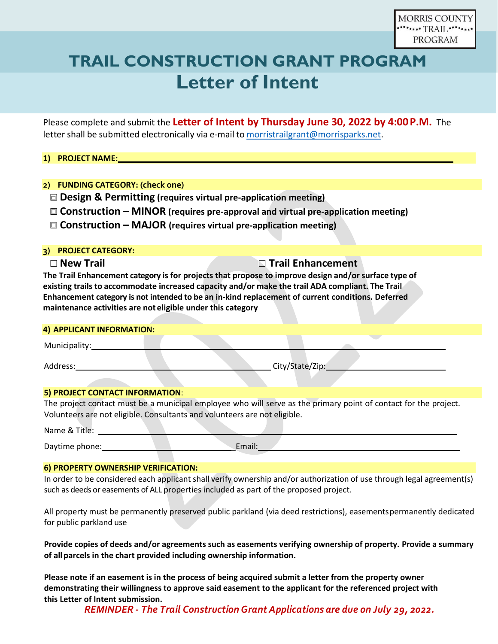# **TRAIL CONSTRUCTION GRANT PROGRAM Letter of Intent**

Please complete and submit the **Letter of Intent by Thursday June 30, 2022 by 4:00P.M.** The letter shall be submitted electronically via e-mail to [morristrailgrant@morrisparks.net.](mailto:morristrailgrant@morrisparks.net)

### **1) PROJECT NAME:**

### **2) FUNDING CATEGORY: (check one)**

**Design & Permitting (requires virtual pre-application meeting)**

- **Construction – MINOR (requires pre-approval and virtual pre-application meeting)**
- **Construction – MAJOR (requires virtual pre-application meeting)**

#### **3) PROJECT CATEGORY:**

### **New Trail Trail Enhancement**

**The Trail Enhancement category is for projects that propose to improve design and/or surface type of existing trails to accommodate increased capacity and/or make the trail ADA compliant. The Trail Enhancement category is not intended to be an in-kind replacement of current conditions. Deferred maintenance activities are not eligible under this category**

#### **4) APPLICANT INFORMATION:**

Municipality:

Address: City/State/Zip:

#### **5) PROJECT CONTACT INFORMATION**:

The project contact must be a municipal employee who will serve as the primary point of contact for the project. Volunteers are not eligible. Consultants and volunteers are not eligible.

Name & Title:

Daytime phone: \_Email:

#### **6) PROPERTY OWNERSHIP VERIFICATION:**

In order to be considered each applicant shall verify ownership and/or authorization of use through legal agreement(s) such as deeds or easements of ALL properties included as part of the proposed project.

All property must be permanently preserved public parkland (via deed restrictions), easementspermanently dedicated for public parkland use

**Provide copies of deeds and/or agreements such as easements verifying ownership of property. Provide a summary of allparcels in the chart provided including ownership information.**

**Please note if an easement is in the process of being acquired submit a letter from the property owner demonstrating their willingness to approve said easement to the applicant for the referenced project with this Letter of Intent submission.** 

*REMINDER - The Trail ConstructionGrant Applications are due on July 29, 2022.*